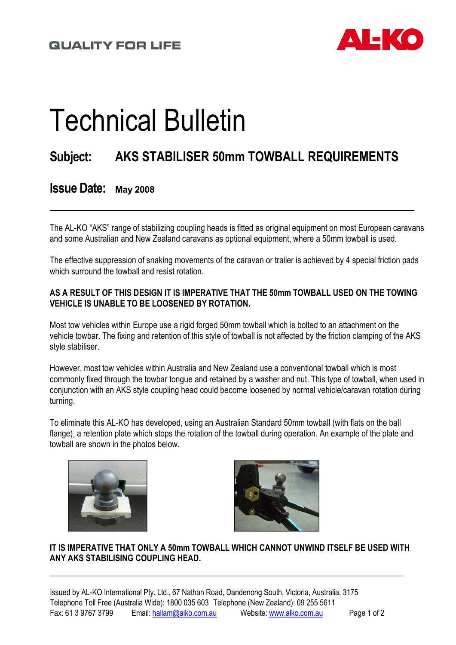### **QUALITY FOR LIFE**



# Technical Bulletin

# **Subject: AKS STABILISER 50mm TOWBALL REQUIREMENTS**

**Issue Date: May <sup>2008</sup>**

The AL-KO "AKS" range of stabilizing coupling heads is fitted as original equipment on most European caravans and some Australian and New Zealand caravans as optional equipment, where a 50mm towball is used.

The effective suppression of snaking movements of the caravan or trailer is achieved by 4 special friction pads which surround the towball and resist rotation.

#### **AS A RESULT OF THIS DESIGN IT IS IMPERATIVE THAT THE 50mm TOWBALL USED ON THE TOWING VEHICLE IS UNABLE TO BE LOOSENED BY ROTATION.**

Most tow vehicles within Europe use a rigid forged 50mm towball which is bolted to an attachment on the vehicle towbar. The fixing and retention of this style of towball is not affected by the friction clamping of the AKS style stabiliser.

However, most tow vehicles within Australia and New Zealand use a conventional towball which is most commonly fixed through the towbar tongue and retained by a washer and nut. This type of towball, when used in conjunction with an AKS style coupling head could become loosened by normal vehicle/caravan rotation during turning.

To eliminate this AL-KO has developed, using an Australian Standard 50mm towball (with flats on the ball flange), a retention plate which stops the rotation of the towball during operation. An example of the plate and towball are shown in the photos below.





#### **IT IS IMPERATIVE THAT ONLY A 50mm TOWBALL WHICH CANNOT UNWIND ITSELF BE USED WITH ANY AKS STABILISING COUPLING HEAD.**